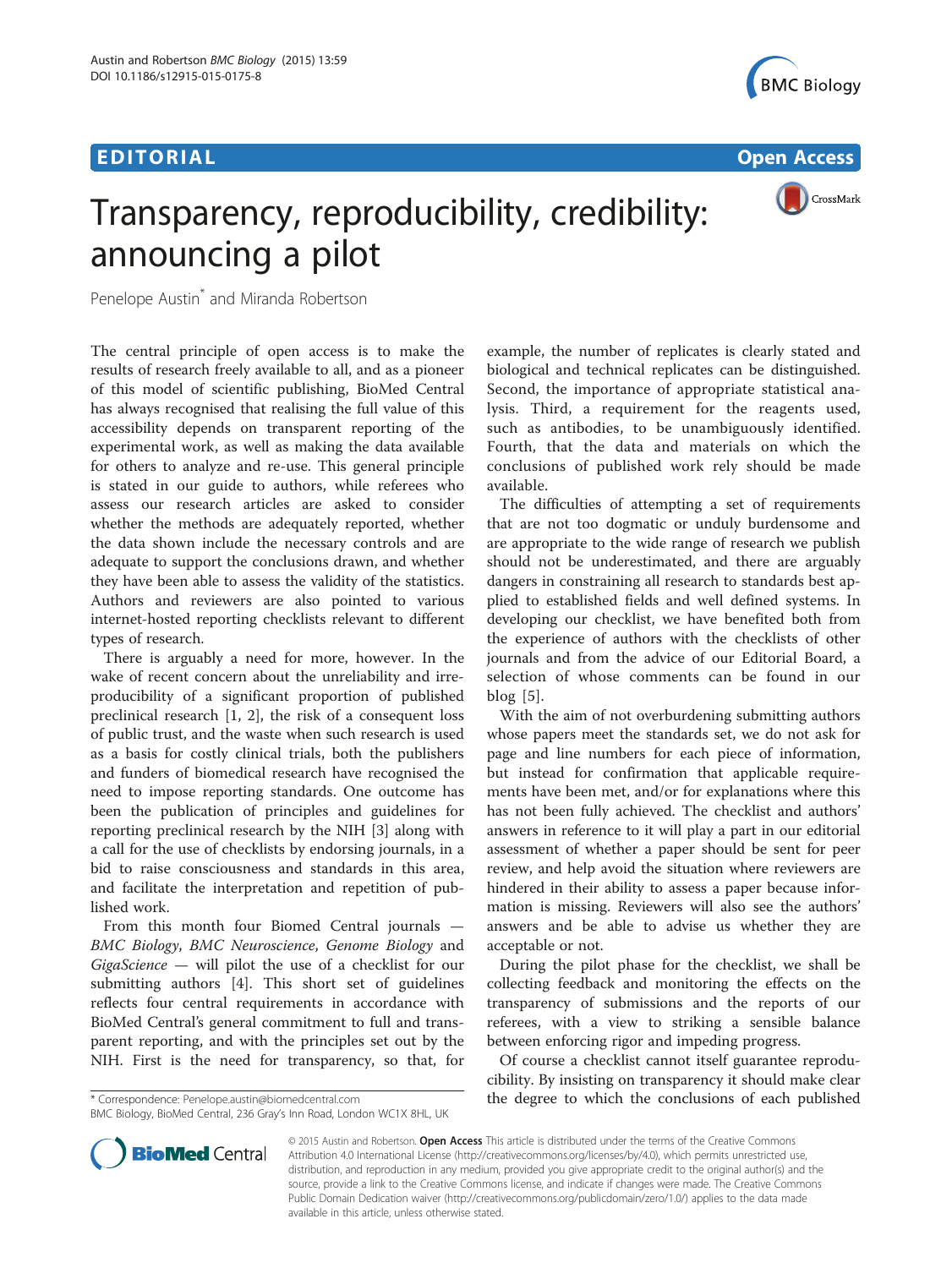## **EDITORIAL** CONTROL CONTROL CONTROL CONTROL CONTROL CONTROL CONTROL CONTROL CONTROL CONTROL CONTROL CONTROL CONTROL CONTROL CONTROL CONTROL CONTROL CONTROL CONTROL CONTROL CONTROL CONTROL CONTROL CONTROL CONTROL CONTROL CO





## Transparency, reproducibility, credibility: announcing a pilot

Penelope Austin<sup>\*</sup> and Miranda Robertson

The central principle of open access is to make the results of research freely available to all, and as a pioneer of this model of scientific publishing, BioMed Central has always recognised that realising the full value of this accessibility depends on transparent reporting of the experimental work, as well as making the data available for others to analyze and re-use. This general principle is stated in our guide to authors, while referees who assess our research articles are asked to consider whether the methods are adequately reported, whether the data shown include the necessary controls and are adequate to support the conclusions drawn, and whether they have been able to assess the validity of the statistics. Authors and reviewers are also pointed to various internet-hosted reporting checklists relevant to different types of research.

There is arguably a need for more, however. In the wake of recent concern about the unreliability and irreproducibility of a significant proportion of published preclinical research [[1, 2\]](#page-1-0), the risk of a consequent loss of public trust, and the waste when such research is used as a basis for costly clinical trials, both the publishers and funders of biomedical research have recognised the need to impose reporting standards. One outcome has been the publication of principles and guidelines for reporting preclinical research by the NIH [[3](#page-1-0)] along with a call for the use of checklists by endorsing journals, in a bid to raise consciousness and standards in this area, and facilitate the interpretation and repetition of published work.

From this month four Biomed Central journals — BMC Biology, BMC Neuroscience, Genome Biology and GigaScience — will pilot the use of a checklist for our submitting authors [[4\]](#page-1-0). This short set of guidelines reflects four central requirements in accordance with BioMed Central's general commitment to full and transparent reporting, and with the principles set out by the NIH. First is the need for transparency, so that, for

example, the number of replicates is clearly stated and biological and technical replicates can be distinguished. Second, the importance of appropriate statistical analysis. Third, a requirement for the reagents used, such as antibodies, to be unambiguously identified. Fourth, that the data and materials on which the conclusions of published work rely should be made available.

The difficulties of attempting a set of requirements that are not too dogmatic or unduly burdensome and are appropriate to the wide range of research we publish should not be underestimated, and there are arguably dangers in constraining all research to standards best applied to established fields and well defined systems. In developing our checklist, we have benefited both from the experience of authors with the checklists of other journals and from the advice of our Editorial Board, a selection of whose comments can be found in our blog [[5](#page-1-0)].

With the aim of not overburdening submitting authors whose papers meet the standards set, we do not ask for page and line numbers for each piece of information, but instead for confirmation that applicable requirements have been met, and/or for explanations where this has not been fully achieved. The checklist and authors' answers in reference to it will play a part in our editorial assessment of whether a paper should be sent for peer review, and help avoid the situation where reviewers are hindered in their ability to assess a paper because information is missing. Reviewers will also see the authors' answers and be able to advise us whether they are acceptable or not.

During the pilot phase for the checklist, we shall be collecting feedback and monitoring the effects on the transparency of submissions and the reports of our referees, with a view to striking a sensible balance between enforcing rigor and impeding progress.

Of course a checklist cannot itself guarantee reproducibility. By insisting on transparency it should make clear \* Correspondence: [Penelope.austin@biomedcentral.com](mailto:Penelope.austin@biomedcentral.com) the degree to which the conclusions of each published



© 2015 Austin and Robertson. Open Access This article is distributed under the terms of the Creative Commons Attribution 4.0 International License [\(http://creativecommons.org/licenses/by/4.0](http://creativecommons.org/licenses/by/4.0)), which permits unrestricted use, distribution, and reproduction in any medium, provided you give appropriate credit to the original author(s) and the source, provide a link to the Creative Commons license, and indicate if changes were made. The Creative Commons Public Domain Dedication waiver ([http://creativecommons.org/publicdomain/zero/1.0/\)](http://creativecommons.org/publicdomain/zero/1.0/) applies to the data made available in this article, unless otherwise stated.

BMC Biology, BioMed Central, 236 Gray's Inn Road, London WC1X 8HL, UK